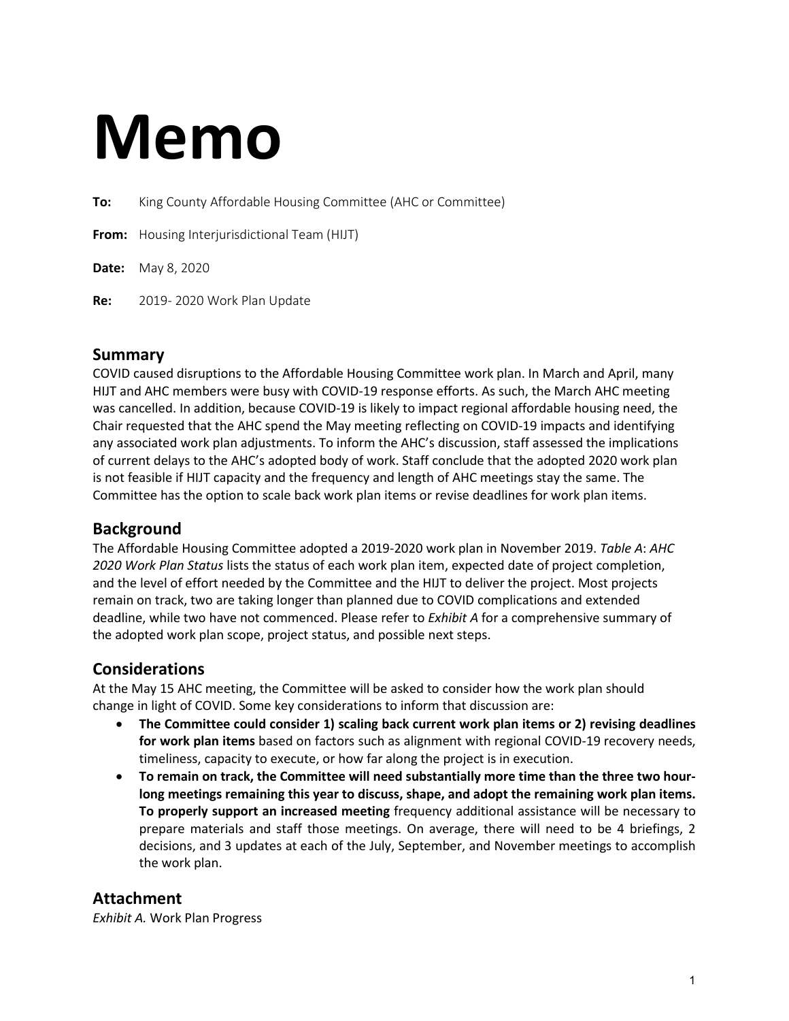# **Memo**

**To:** King County Affordable Housing Committee (AHC or Committee)

**From:** Housing Interjurisdictional Team (HIJT)

**Date:** May 8, 2020

**Re:** 2019- 2020 Work Plan Update

### **Summary**

COVID caused disruptions to the Affordable Housing Committee work plan. In March and April, many HIJT and AHC members were busy with COVID-19 response efforts. As such, the March AHC meeting was cancelled. In addition, because COVID-19 is likely to impact regional affordable housing need, the Chair requested that the AHC spend the May meeting reflecting on COVID-19 impacts and identifying any associated work plan adjustments. To inform the AHC's discussion, staff assessed the implications of current delays to the AHC's adopted body of work. Staff conclude that the adopted 2020 work plan is not feasible if HIJT capacity and the frequency and length of AHC meetings stay the same. The Committee has the option to scale back work plan items or revise deadlines for work plan items.

# **Background**

The Affordable Housing Committee adopted a 2019-2020 work plan in November 2019. *Table A*: *AHC 2020 Work Plan Status* lists the status of each work plan item, expected date of project completion, and the level of effort needed by the Committee and the HIJT to deliver the project. Most projects remain on track, two are taking longer than planned due to COVID complications and extended deadline, while two have not commenced. Please refer to *Exhibit A* for a comprehensive summary of the adopted work plan scope, project status, and possible next steps.

# **Considerations**

At the May 15 AHC meeting, the Committee will be asked to consider how the work plan should change in light of COVID. Some key considerations to inform that discussion are:

- **The Committee could consider 1) scaling back current work plan items or 2) revising deadlines for work plan items** based on factors such as alignment with regional COVID-19 recovery needs, timeliness, capacity to execute, or how far along the project is in execution.
- **To remain on track, the Committee will need substantially more time than the three two hourlong meetings remaining this year to discuss, shape, and adopt the remaining work plan items. To properly support an increased meeting** frequency additional assistance will be necessary to prepare materials and staff those meetings. On average, there will need to be 4 briefings, 2 decisions, and 3 updates at each of the July, September, and November meetings to accomplish the work plan.

# **Attachment**

*Exhibit A.* Work Plan Progress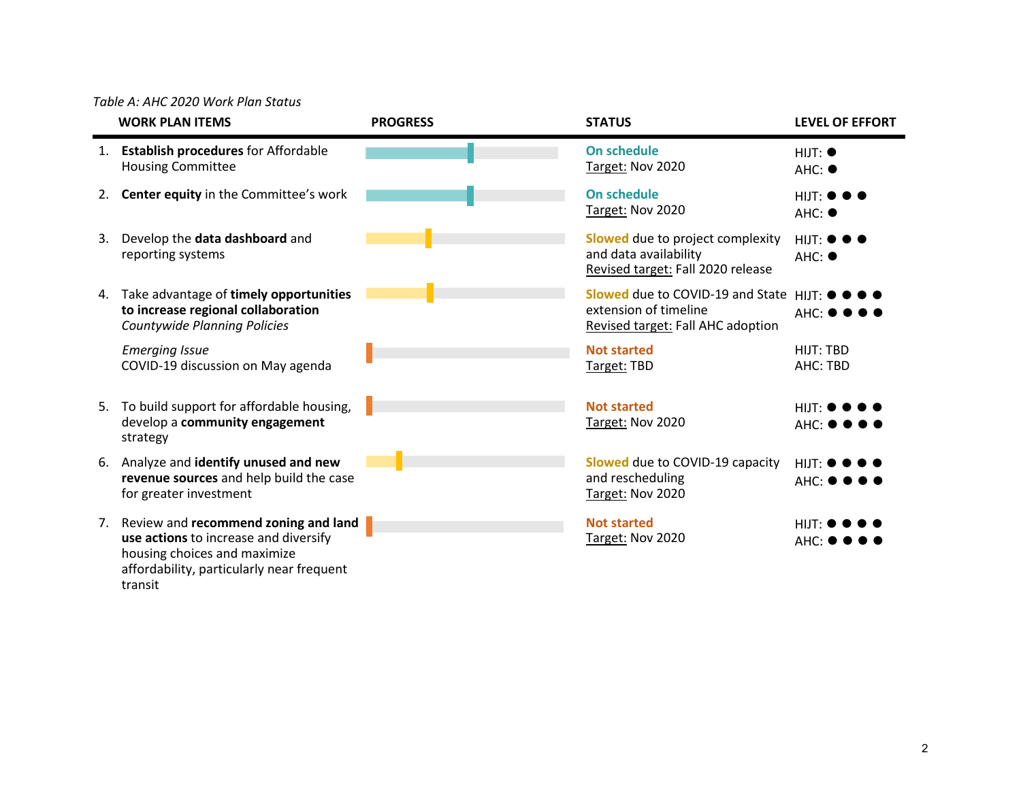#### *Table A: AHC 2020 Work Plan Status*

|    | <b>WORK PLAN ITEMS</b>                                                                                                                                                | <b>PROGRESS</b> | <b>STATUS</b>                                                                                          | <b>LEVEL OF EFFORT</b>            |
|----|-----------------------------------------------------------------------------------------------------------------------------------------------------------------------|-----------------|--------------------------------------------------------------------------------------------------------|-----------------------------------|
|    | 1. Establish procedures for Affordable<br><b>Housing Committee</b>                                                                                                    |                 | <b>On schedule</b><br>Target: Nov 2020                                                                 | $HJJT:$ $\bullet$<br>AHC: ●       |
| 2. | <b>Center equity</b> in the Committee's work                                                                                                                          |                 | On schedule<br>Target: Nov 2020                                                                        | HIJT: ● ● ●<br>AHC: ●             |
| 3. | Develop the data dashboard and<br>reporting systems                                                                                                                   |                 | Slowed due to project complexity<br>and data availability<br>Revised target: Fall 2020 release         | HIJT: <sup>O O O</sup><br>AHC: ●  |
| 4. | Take advantage of timely opportunities<br>to increase regional collaboration<br>Countywide Planning Policies                                                          |                 | Slowed due to COVID-19 and State HIJT: 0<br>extension of timeline<br>Revised target: Fall AHC adoption | AHC: ●                            |
|    | <b>Emerging Issue</b><br>COVID-19 discussion on May agenda                                                                                                            |                 | <b>Not started</b><br>Target: TBD                                                                      | HIJT: TBD<br>AHC: TBD             |
| 5. | To build support for affordable housing,<br>develop a community engagement<br>strategy                                                                                |                 | <b>Not started</b><br>Target: Nov 2020                                                                 | $H$ IJT: $\theta$<br>AHC: O       |
| 6. | Analyze and identify unused and new<br>revenue sources and help build the case<br>for greater investment                                                              |                 | Slowed due to COVID-19 capacity<br>and rescheduling<br>Target: Nov 2020                                | $H$ IJT: $\blacksquare$<br>AHC: 0 |
| 7. | Review and recommend zoning and land<br>use actions to increase and diversify<br>housing choices and maximize<br>affordability, particularly near frequent<br>transit |                 | <b>Not started</b><br>Target: Nov 2020                                                                 | $H$ IJT:<br>AHC:                  |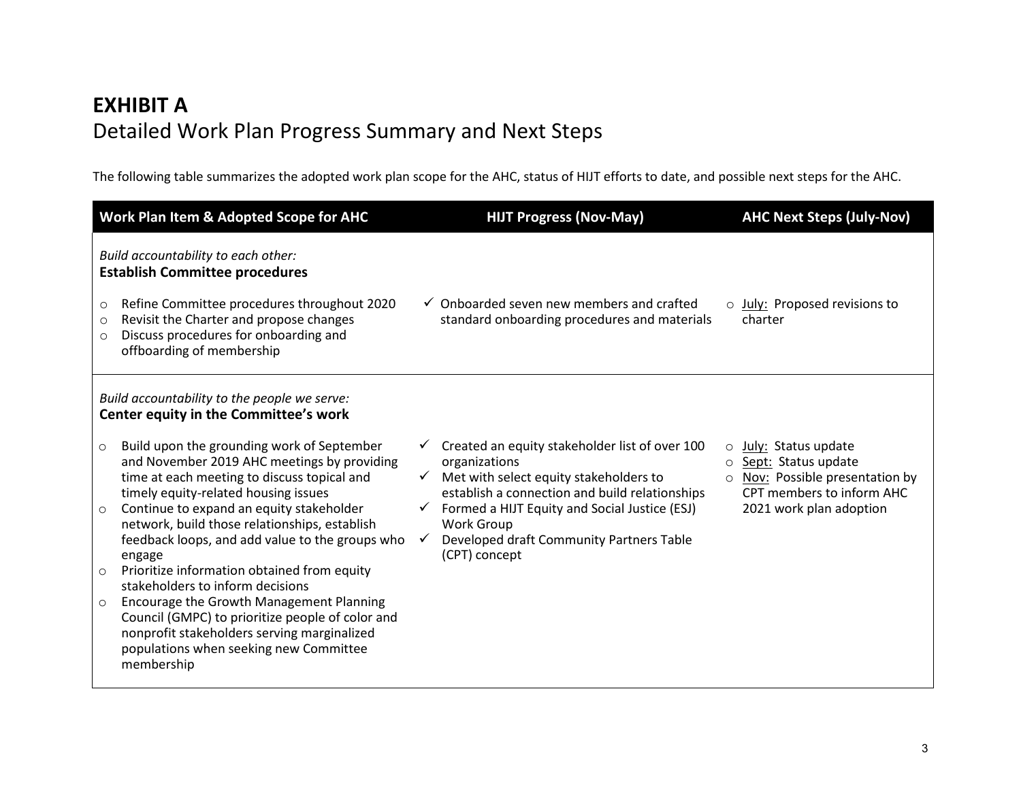# **EXHIBIT A** Detailed Work Plan Progress Summary and Next Steps

The following table summarizes the adopted work plan scope for the AHC, status of HIJT efforts to date, and possible next steps for the AHC.

| Work Plan Item & Adopted Scope for AHC                                                                                                                                                                                                                                                                                                                                                                                                                                                                                                                                                                                                                                                                                                                              | <b>HIJT Progress (Nov-May)</b>                                                                                                                                                                                                                                                                                           | <b>AHC Next Steps (July-Nov)</b>                                                                                                                                     |
|---------------------------------------------------------------------------------------------------------------------------------------------------------------------------------------------------------------------------------------------------------------------------------------------------------------------------------------------------------------------------------------------------------------------------------------------------------------------------------------------------------------------------------------------------------------------------------------------------------------------------------------------------------------------------------------------------------------------------------------------------------------------|--------------------------------------------------------------------------------------------------------------------------------------------------------------------------------------------------------------------------------------------------------------------------------------------------------------------------|----------------------------------------------------------------------------------------------------------------------------------------------------------------------|
| Build accountability to each other:<br><b>Establish Committee procedures</b><br>Refine Committee procedures throughout 2020<br>$\circ$<br>Revisit the Charter and propose changes<br>$\circ$<br>Discuss procedures for onboarding and<br>$\circ$<br>offboarding of membership                                                                                                                                                                                                                                                                                                                                                                                                                                                                                       | $\checkmark$ Onboarded seven new members and crafted<br>standard onboarding procedures and materials                                                                                                                                                                                                                     | $\circ$ July: Proposed revisions to<br>charter                                                                                                                       |
| Build accountability to the people we serve:<br>Center equity in the Committee's work<br>Build upon the grounding work of September<br>$\circ$<br>and November 2019 AHC meetings by providing<br>time at each meeting to discuss topical and<br>timely equity-related housing issues<br>Continue to expand an equity stakeholder<br>$\circ$<br>network, build those relationships, establish<br>feedback loops, and add value to the groups who<br>engage<br>Prioritize information obtained from equity<br>O<br>stakeholders to inform decisions<br>Encourage the Growth Management Planning<br>$\circ$<br>Council (GMPC) to prioritize people of color and<br>nonprofit stakeholders serving marginalized<br>populations when seeking new Committee<br>membership | Created an equity stakeholder list of over 100<br>organizations<br>$\checkmark$ Met with select equity stakeholders to<br>establish a connection and build relationships<br>$\checkmark$ Formed a HIJT Equity and Social Justice (ESJ)<br><b>Work Group</b><br>Developed draft Community Partners Table<br>(CPT) concept | July: Status update<br>$\circ$<br>Sept: Status update<br>$\circ$<br>Nov: Possible presentation by<br>$\circ$<br>CPT members to inform AHC<br>2021 work plan adoption |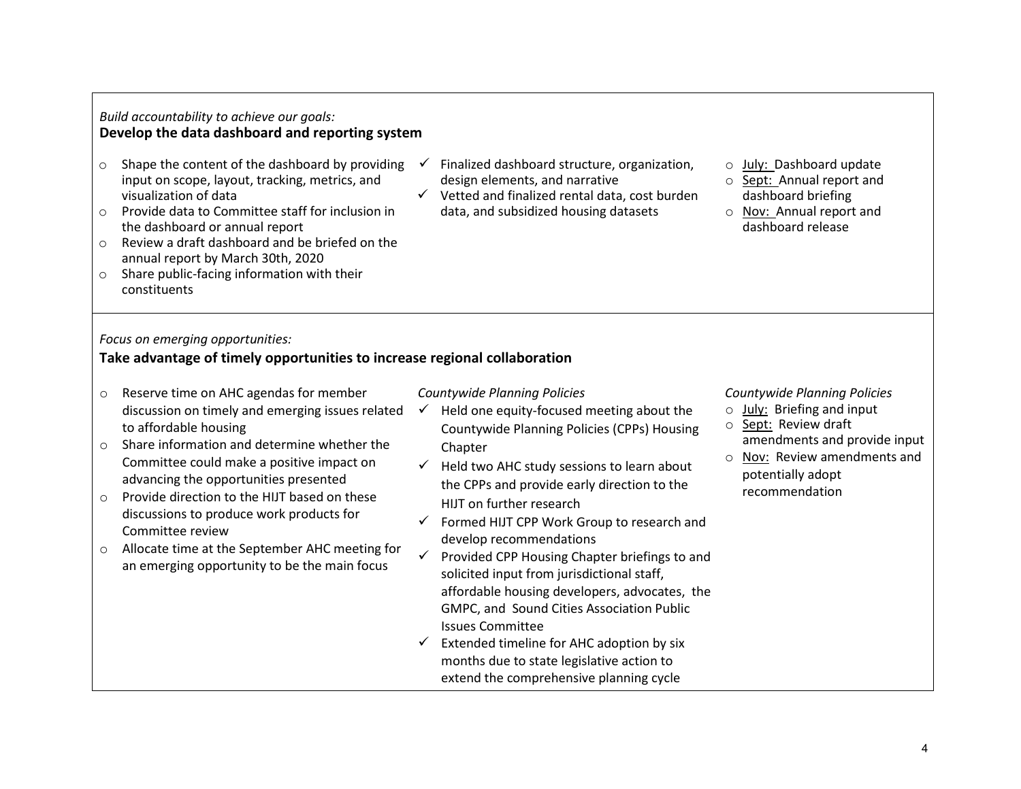#### *Build accountability to achieve our goals:*  **Develop the data dashboard and reporting system**

- o Shape the content of the dashboard by providing input on scope, layout, tracking, metrics, and visualization of data
- o Provide data to Committee staff for inclusion in the dashboard or annual report
- o Review a draft dashboard and be briefed on the annual report by March 30th, 2020
- o Share public-facing information with their constituents

*Focus on emerging opportunities:* 

#### **Take advantage of timely opportunities to increase regional collaboration**

- o Reserve time on AHC agendas for member discussion on timely and emerging issues related to affordable housing
- o Share information and determine whether the Committee could make a positive impact on advancing the opportunities presented
- o Provide direction to the HIJT based on these discussions to produce work products for Committee review
- o Allocate time at the September AHC meeting for an emerging opportunity to be the main focus
- $\checkmark$  Finalized dashboard structure, organization, design elements, and narrative
- $\checkmark$  Vetted and finalized rental data, cost burden data, and subsidized housing datasets
- o July: Dashboard update
- o Sept: Annual report and dashboard briefing
- o Nov: Annual report and dashboard release

*Countywide Planning Policies*

- $\checkmark$  Held one equity-focused meeting about the Countywide Planning Policies (CPPs) Housing Chapter
- $\checkmark$  Held two AHC study sessions to learn about the CPPs and provide early direction to the HIJT on further research
- $\checkmark$  Formed HIJT CPP Work Group to research and develop recommendations
- $\checkmark$  Provided CPP Housing Chapter briefings to and solicited input from jurisdictional staff, affordable housing developers, advocates, the GMPC, and Sound Cities Association Public Issues Committee
- $\checkmark$  Extended timeline for AHC adoption by six months due to state legislative action to extend the comprehensive planning cycle

#### *Countywide Planning Policies*

- $\circ$  July: Briefing and input
- o Sept: Review draft amendments and provide input
- o Nov: Review amendments and potentially adopt recommendation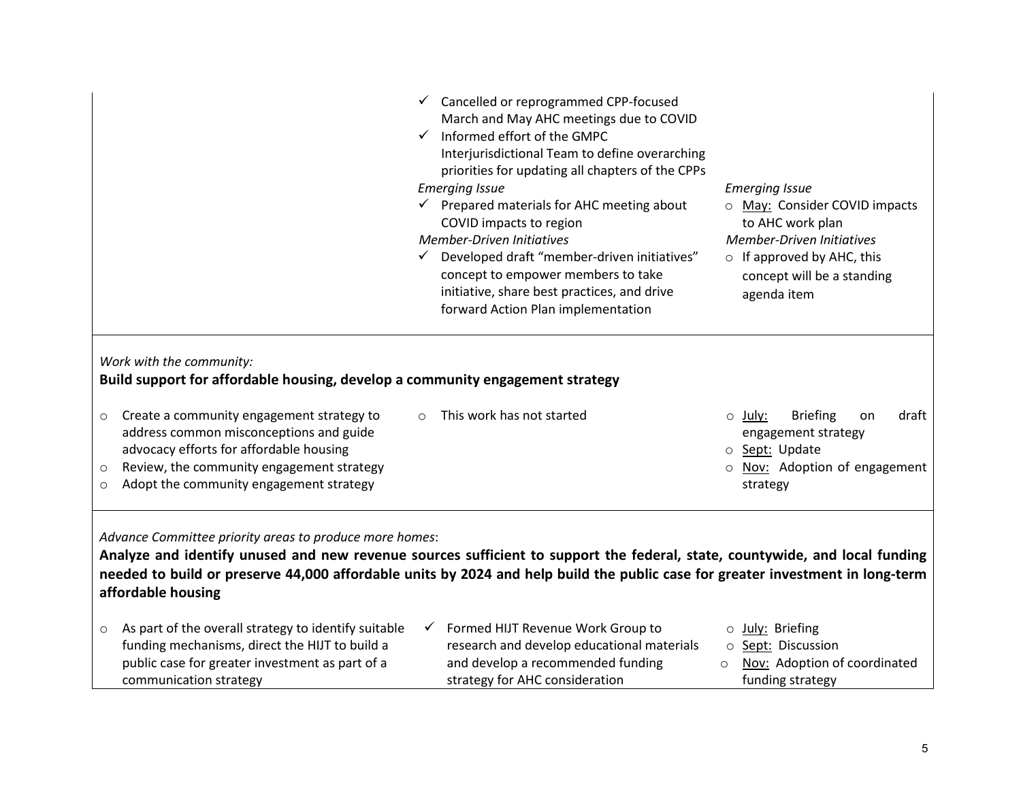|                                                                                                                                                                                                                                                                                                                                                | $\checkmark$ Cancelled or reprogrammed CPP-focused<br>March and May AHC meetings due to COVID<br>$\checkmark$ Informed effort of the GMPC<br>Interjurisdictional Team to define overarching<br>priorities for updating all chapters of the CPPs<br><b>Emerging Issue</b><br>$\checkmark$ Prepared materials for AHC meeting about<br>COVID impacts to region<br><b>Member-Driven Initiatives</b><br>$\checkmark$ Developed draft "member-driven initiatives"<br>concept to empower members to take<br>initiative, share best practices, and drive<br>forward Action Plan implementation | <b>Emerging Issue</b><br>O May: Consider COVID impacts<br>to AHC work plan<br><b>Member-Driven Initiatives</b><br>$\circ$ If approved by AHC, this<br>concept will be a standing<br>agenda item |  |  |  |  |
|------------------------------------------------------------------------------------------------------------------------------------------------------------------------------------------------------------------------------------------------------------------------------------------------------------------------------------------------|-----------------------------------------------------------------------------------------------------------------------------------------------------------------------------------------------------------------------------------------------------------------------------------------------------------------------------------------------------------------------------------------------------------------------------------------------------------------------------------------------------------------------------------------------------------------------------------------|-------------------------------------------------------------------------------------------------------------------------------------------------------------------------------------------------|--|--|--|--|
| Work with the community:<br>Build support for affordable housing, develop a community engagement strategy                                                                                                                                                                                                                                      |                                                                                                                                                                                                                                                                                                                                                                                                                                                                                                                                                                                         |                                                                                                                                                                                                 |  |  |  |  |
| Create a community engagement strategy to<br>$\circ$<br>address common misconceptions and guide<br>advocacy efforts for affordable housing<br>Review, the community engagement strategy<br>$\circ$<br>Adopt the community engagement strategy<br>O                                                                                             | This work has not started<br>$\circ$                                                                                                                                                                                                                                                                                                                                                                                                                                                                                                                                                    | <b>Briefing</b><br>$\circ$ July:<br>draft<br>on<br>engagement strategy<br>Sept: Update<br>Nov: Adoption of engagement<br>$\circ$<br>strategy                                                    |  |  |  |  |
| Advance Committee priority areas to produce more homes:<br>Analyze and identify unused and new revenue sources sufficient to support the federal, state, countywide, and local funding<br>needed to build or preserve 44,000 affordable units by 2024 and help build the public case for greater investment in long-term<br>affordable housing |                                                                                                                                                                                                                                                                                                                                                                                                                                                                                                                                                                                         |                                                                                                                                                                                                 |  |  |  |  |
| As part of the overall strategy to identify suitable<br>$\circ$<br>funding mechanisms, direct the HIJT to build a<br>public case for greater investment as part of a<br>communication strategy                                                                                                                                                 | $\checkmark$ Formed HIJT Revenue Work Group to<br>research and develop educational materials<br>and develop a recommended funding<br>strategy for AHC consideration                                                                                                                                                                                                                                                                                                                                                                                                                     | o July: Briefing<br>o Sept: Discussion<br>Nov: Adoption of coordinated<br>$\circ$<br>funding strategy                                                                                           |  |  |  |  |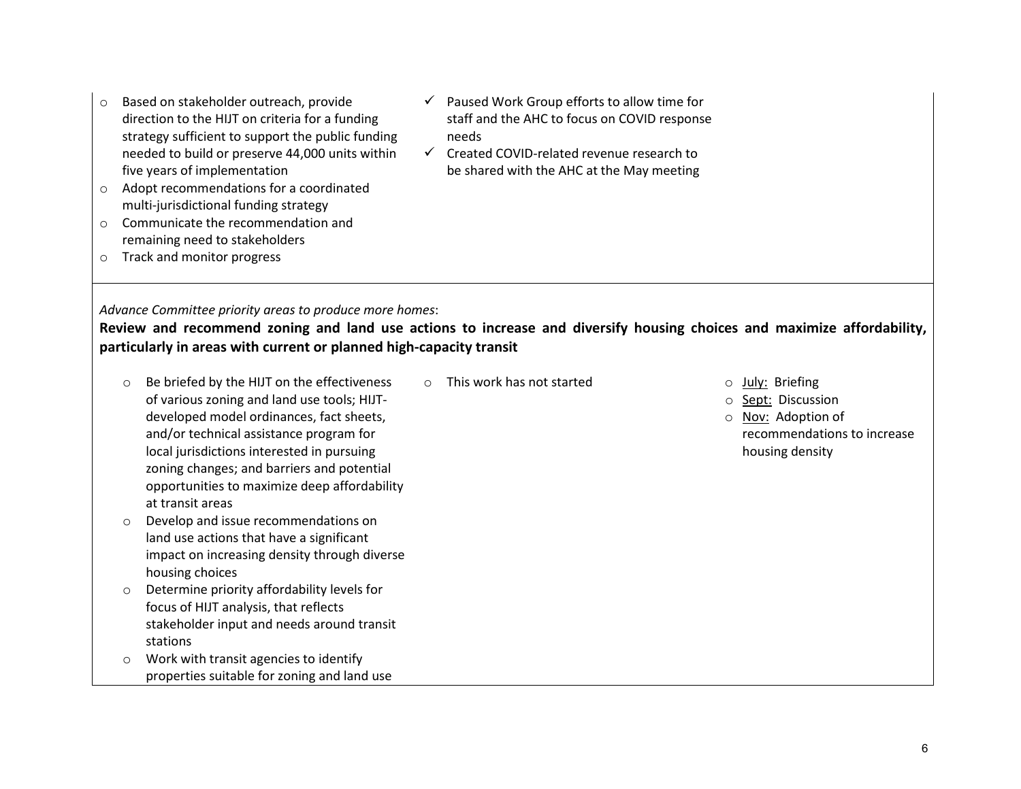- o Based on stakeholder outreach, provide direction to the HIJT on criteria for a funding strategy sufficient to support the public funding needed to build or preserve 44,000 units within five years of implementation
- o Adopt recommendations for a coordinated multi-jurisdictional funding strategy
- o Communicate the recommendation and remaining need to stakeholders
- o Track and monitor progress
- $\checkmark$  Paused Work Group efforts to allow time for staff and the AHC to focus on COVID response needs
- $\checkmark$  Created COVID-related revenue research to be shared with the AHC at the May meeting

*Advance Committee priority areas to produce more homes*:

**Review and recommend zoning and land use actions to increase and diversify housing choices and maximize affordability, particularly in areas with current or planned high-capacity transit**

- o Be briefed by the HIJT on the effectiveness of various zoning and land use tools; HIJTdeveloped model ordinances, fact sheets, and/or technical assistance program for local jurisdictions interested in pursuing zoning changes; and barriers and potential opportunities to maximize deep affordability at transit areas
- o Develop and issue recommendations on land use actions that have a significant impact on increasing density through diverse housing choices
- o Determine priority affordability levels for focus of HIJT analysis, that reflects stakeholder input and needs around transit stations
- o Work with transit agencies to identify properties suitable for zoning and land use
- o This work has not started o July: Briefing
	- o Sept: Discussion
	- o Nov: Adoption of recommendations to increase housing density